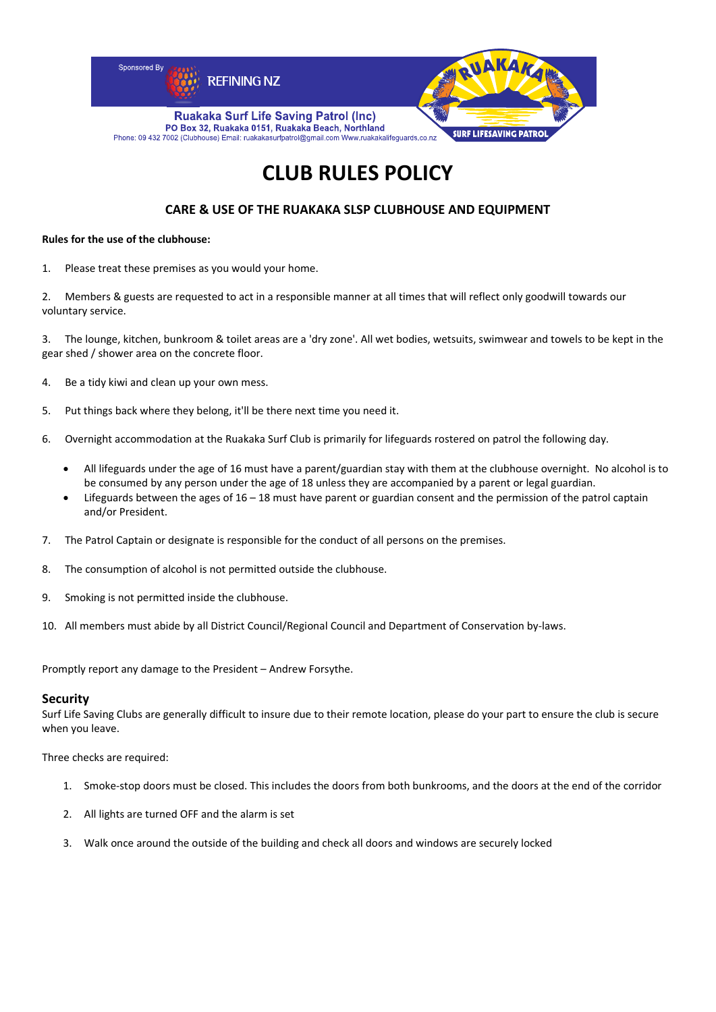

# **CLUB RULES POLICY**

# **CARE & USE OF THE RUAKAKA SLSP CLUBHOUSE AND EQUIPMENT**

#### **Rules for the use of the clubhouse:**

1. Please treat these premises as you would your home.

2. Members & guests are requested to act in a responsible manner at all times that will reflect only goodwill towards our voluntary service.

3. The lounge, kitchen, bunkroom & toilet areas are a 'dry zone'. All wet bodies, wetsuits, swimwear and towels to be kept in the gear shed / shower area on the concrete floor.

- 4. Be a tidy kiwi and clean up your own mess.
- 5. Put things back where they belong, it'll be there next time you need it.
- 6. Overnight accommodation at the Ruakaka Surf Club is primarily for lifeguards rostered on patrol the following day.
	- All lifeguards under the age of 16 must have a parent/guardian stay with them at the clubhouse overnight. No alcohol is to be consumed by any person under the age of 18 unless they are accompanied by a parent or legal guardian.
	- Lifeguards between the ages of 16 18 must have parent or guardian consent and the permission of the patrol captain and/or President.
- 7. The Patrol Captain or designate is responsible for the conduct of all persons on the premises.
- 8. The consumption of alcohol is not permitted outside the clubhouse.
- 9. Smoking is not permitted inside the clubhouse.
- 10. All members must abide by all District Council/Regional Council and Department of Conservation by‐laws.

Promptly report any damage to the President – Andrew Forsythe.

#### **Security**

Surf Life Saving Clubs are generally difficult to insure due to their remote location, please do your part to ensure the club is secure when you leave.

Three checks are required:

- 1. Smoke‐stop doors must be closed. This includes the doors from both bunkrooms, and the doors at the end of the corridor
- 2. All lights are turned OFF and the alarm is set
- 3. Walk once around the outside of the building and check all doors and windows are securely locked